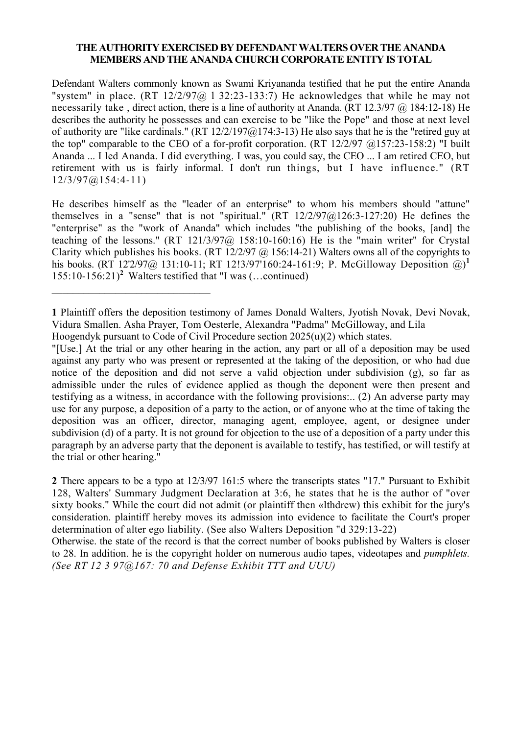#### **THE AUTHORITY EXERCISED BY DEFENDANT WALTERS OVER THE ANANDA MEMBERS AND THE ANANDA CHURCH CORPORATE ENTITY IS TOTAL**

Defendant Walters commonly known as Swami Kriyananda testified that he put the entire Ananda "system" in place.  $(RT_12/2/97@132:23-133:7)$  He acknowledges that while he may not necessarily take, direct action, there is a line of authority at Ananda. (RT 12.3/97 @ 184:12-18) He describes the authority he possesses and can exercise to be "like the Pope" and those at next level of authority are "like cardinals." (RT  $12/2/197@174:3-13$ ) He also says that he is the "retired guy at the top" comparable to the CEO of a for-profit corporation. (RT  $12/2/97$   $@157:23-158:2$ ) "I built Ananda ... I led Ananda. I did everything. I was, you could say, the CEO ... I am retired CEO, but retirement with us is fairly informal. I don't run things, but I have influence." (RT 12/3/97@154:4-11)

He describes himself as the "leader of an enterprise" to whom his members should "attune" themselves in a "sense" that is not "spiritual."  $(RT 12/2/97@126:3-127:20)$  He defines the "enterprise" as the "work of Ananda" which includes "the publishing of the books, [and] the teaching of the lessons."  $(RT 121/3/97@, 158:10-160:16)$  He is the "main writer" for Crystal Clarity which publishes his books. (RT 12/2/97 @ 156:14-21) Walters owns all of the copyrights to his books. (RT 12'2/97@ 131:10-11; RT 12!3/97'160:24-161:9; P. McGilloway Deposition @)<sup>1</sup> 155:10-156:21)**<sup>2</sup>** Walters testified that "I was (…continued)

 $\mathcal{L}_\text{max}$ 

**2** There appears to be a typo at 12/3/97 161:5 where the transcripts states "17." Pursuant to Exhibit 128, Walters' Summary Judgment Declaration at 3:6, he states that he is the author of "over sixty books." While the court did not admit (or plaintiff then «lthdrew) this exhibit for the jury's consideration. plaintiff hereby moves its admission into evidence to facilitate the Court's proper determination of alter ego liability. (See also Walters Deposition "d 329:13-22)

Otherwise. the state of the record is that the correct number of books published by Walters is closer to 28. In addition. he is the copyright holder on numerous audio tapes, videotapes and *pumphlets. (See RT 12 3 97@167: 70 and Defense Exhibit TTT and UUU)* 

**<sup>1</sup>** Plaintiff offers the deposition testimony of James Donald Walters, Jyotish Novak, Devi Novak, Vidura Smallen. Asha Prayer, Tom Oesterle, Alexandra "Padma" McGilloway, and Lila

Hoogendyk pursuant to Code of Civil Procedure section 2025(u)(2) which states.

<sup>&</sup>quot;[Use.] At the trial or any other hearing in the action, any part or all of a deposition may be used against any party who was present or represented at the taking of the deposition, or who had due notice of the deposition and did not serve a valid objection under subdivision (g), so far as admissible under the rules of evidence applied as though the deponent were then present and testifying as a witness, in accordance with the following provisions:.. (2) An adverse party may use for any purpose, a deposition of a party to the action, or of anyone who at the time of taking the deposition was an officer, director, managing agent, employee, agent, or designee under subdivision (d) of a party. It is not ground for objection to the use of a deposition of a party under this paragraph by an adverse party that the deponent is available to testify, has testified, or will testify at the trial or other hearing."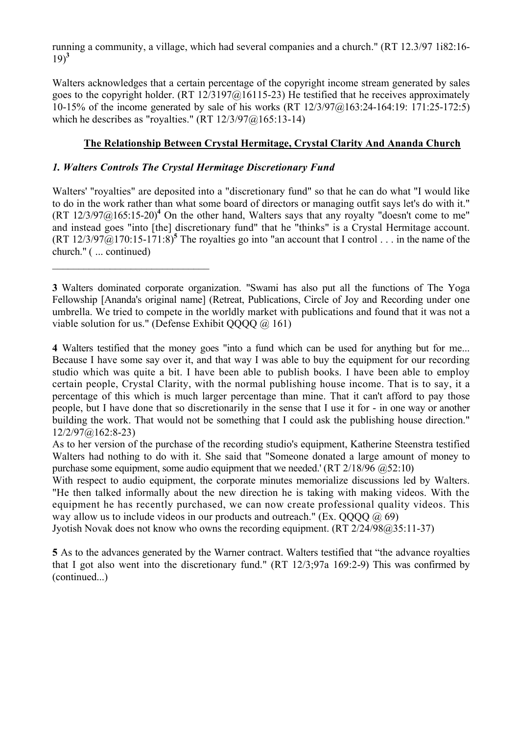running a community, a village, which had several companies and a church." (RT 12.3/97 1i82:16-  $(19)^3$ 

Walters acknowledges that a certain percentage of the copyright income stream generated by sales goes to the copyright holder. (RT  $12/3197@16115-23$ ) He testified that he receives approximately 10-15% of the income generated by sale of his works (RT 12/3/97@163:24-164:19: 171:25-172:5) which he describes as "royalties." (RT  $12/3/97@165:13-14$ )

# **The Relationship Between Crystal Hermitage, Crystal Clarity And Ananda Church**

# *1. Walters Controls The Crystal Hermitage Discretionary Fund*

 $\mathcal{L}_\text{max}$  , where  $\mathcal{L}_\text{max}$  and  $\mathcal{L}_\text{max}$ 

Walters' "royalties" are deposited into a "discretionary fund" so that he can do what "I would like to do in the work rather than what some board of directors or managing outfit says let's do with it."  $(RT 12/3/97@165:15-20)^4$  On the other hand, Walters says that any royalty "doesn't come to me" and instead goes "into [the] discretionary fund" that he "thinks" is a Crystal Hermitage account.  $(RT 12/3/97@170:15-171:8)^5$  The royalties go into "an account that I control . . . in the name of the church." ( ... continued)

**4** Walters testified that the money goes "into a fund which can be used for anything but for me... Because I have some say over it, and that way I was able to buy the equipment for our recording studio which was quite a bit. I have been able to publish books. I have been able to employ certain people, Crystal Clarity, with the normal publishing house income. That is to say, it a percentage of this which is much larger percentage than mine. That it can't afford to pay those people, but I have done that so discretionarily in the sense that I use it for - in one way or another building the work. That would not be something that I could ask the publishing house direction." 12/2/97@162:8-23)

As to her version of the purchase of the recording studio's equipment, Katherine Steenstra testified Walters had nothing to do with it. She said that "Someone donated a large amount of money to purchase some equipment, some audio equipment that we needed.' (RT 2/18/96 @52:10)

With respect to audio equipment, the corporate minutes memorialize discussions led by Walters. "He then talked informally about the new direction he is taking with making videos. With the equipment he has recently purchased, we can now create professional quality videos. This way allow us to include videos in our products and outreach." (Ex.  $QQQQ$   $@$ , 69)

Jyotish Novak does not know who owns the recording equipment. (RT 2/24/98@35:11-37)

**5** As to the advances generated by the Warner contract. Walters testified that "the advance royalties that I got also went into the discretionary fund." (RT 12/3;97a 169:2-9) This was confirmed by (continued...)

**<sup>3</sup>** Walters dominated corporate organization. "Swami has also put all the functions of The Yoga Fellowship [Ananda's original name] (Retreat, Publications, Circle of Joy and Recording under one umbrella. We tried to compete in the worldly market with publications and found that it was not a viable solution for us." (Defense Exhibit QQQQ  $(a)$  161)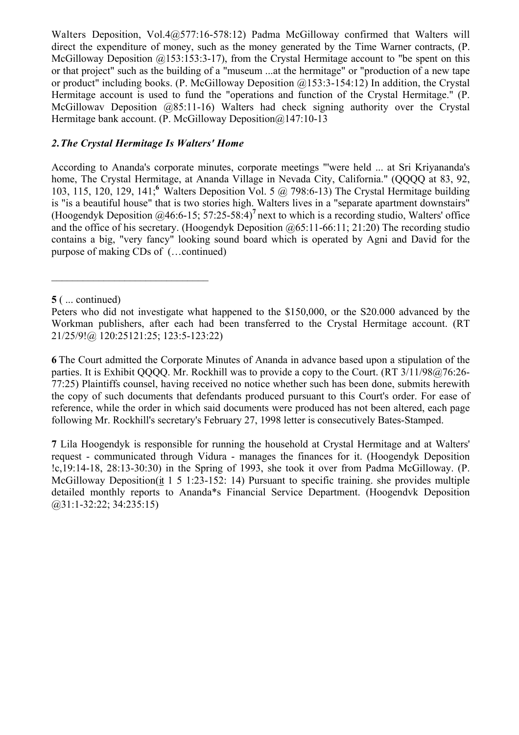Walters Deposition, Vol.4@577:16-578:12) Padma McGilloway confirmed that Walters will direct the expenditure of money, such as the money generated by the Time Warner contracts, (P. McGilloway Deposition @153:153:3-17), from the Crystal Hermitage account to "be spent on this or that project" such as the building of a "museum ...at the hermitage" or "production of a new tape or product" including books. (P. McGilloway Deposition @153:3-154:12) In addition, the Crystal Hermitage account is used to fund the "operations and function of the Crystal Hermitage." (P. McGillowav Deposition @85:11-16) Walters had check signing authority over the Crystal Hermitage bank account. (P. McGilloway Deposition@147:10-13)

### *2.The Crystal Hermitage Is Walters' Home*

 $\mathcal{L}_\text{max}$ 

According to Ananda's corporate minutes, corporate meetings "'were held ... at Sri Kriyananda's home, The Crystal Hermitage, at Ananda Village in Nevada City, California." (QQQQ at 83, 92, 103, 115, 120, 129, 141;**<sup>6</sup>** Walters Deposition Vol. 5 @ 798:6-13) The Crystal Hermitage building is "is a beautiful house" that is two stories high. Walters lives in a "separate apartment downstairs" (Hoogendyk Deposition @46:6-15; 57:25-58:4)**<sup>7</sup>** next to which is a recording studio, Walters' office and the office of his secretary. (Hoogendyk Deposition @65:11-66:11; 21:20) The recording studio contains a big, "very fancy" looking sound board which is operated by Agni and David for the purpose of making CDs of (…continued)

**6** The Court admitted the Corporate Minutes of Ananda in advance based upon a stipulation of the parties. It is Exhibit QQQQ. Mr. Rockhill was to provide a copy to the Court. (RT 3/11/98@76:26- 77:25) Plaintiffs counsel, having received no notice whether such has been done, submits herewith the copy of such documents that defendants produced pursuant to this Court's order. For ease of reference, while the order in which said documents were produced has not been altered, each page following Mr. Rockhill's secretary's February 27, 1998 letter is consecutively Bates-Stamped.

**7** Lila Hoogendyk is responsible for running the household at Crystal Hermitage and at Walters' request - communicated through Vidura - manages the finances for it. (Hoogendyk Deposition !c,19:14-18, 28:13-30:30) in the Spring of 1993, she took it over from Padma McGilloway. (P. McGilloway Deposition(it 1 5 1:23-152: 14) Pursuant to specific training. she provides multiple detailed monthly reports to Ananda\*s Financial Service Department. (Hoogendvk Deposition @31:1-32:22; 34:235:15)

**<sup>5</sup>** ( ... continued)

Peters who did not investigate what happened to the \$150,000, or the S20.000 advanced by the Workman publishers, after each had been transferred to the Crystal Hermitage account. (RT 21/25/9!@ 120:25121:25; 123:5-123:22)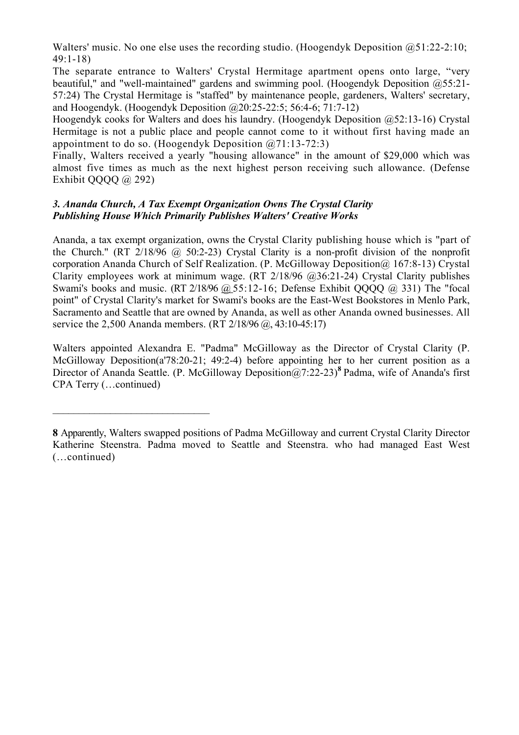Walters' music. No one else uses the recording studio. (Hoogendyk Deposition @51:22-2:10; 49:1-18)

The separate entrance to Walters' Crystal Hermitage apartment opens onto large, "very beautiful," and "well-maintained" gardens and swimming pool. (Hoogendyk Deposition @55:21- 57:24) The Crystal Hermitage is "staffed" by maintenance people, gardeners, Walters' secretary, and Hoogendyk. (Hoogendyk Deposition @20:25-22:5; 56:4-6; 71:7-12)

Hoogendyk cooks for Walters and does his laundry. (Hoogendyk Deposition @52:13-16) Crystal Hermitage is not a public place and people cannot come to it without first having made an appointment to do so. (Hoogendyk Deposition @71:13-72:3)

Finally, Walters received a yearly "housing allowance" in the amount of \$29,000 which was almost five times as much as the next highest person receiving such allowance. (Defense Exhibit OOOO @ 292)

#### *3. Ananda Church, A Tax Exempt Organization Owns The Crystal Clarity Publishing House Which Primarily Publishes Walters' Creative Works*

 $\mathcal{L}_\text{max}$  , where  $\mathcal{L}_\text{max}$  and  $\mathcal{L}_\text{max}$ 

Ananda, a tax exempt organization, owns the Crystal Clarity publishing house which is "part of the Church." (RT 2/18/96 @ 50:2-23) Crystal Clarity is a non-profit division of the nonprofit corporation Ananda Church of Self Realization. (P. McGilloway Deposition@ 167:8-13) Crystal Clarity employees work at minimum wage. (RT 2/18/96 @36:21-24) Crystal Clarity publishes Swami's books and music. (RT  $2/18/96$   $\omega$  55:12-16; Defense Exhibit QQQQ  $\omega$  331) The "focal point" of Crystal Clarity's market for Swami's books are the East-West Bookstores in Menlo Park, Sacramento and Seattle that are owned by Ananda, as well as other Ananda owned businesses. All service the 2,500 Ananda members. (RT 2/18/96 @, 43:10-45:17)

Walters appointed Alexandra E. "Padma" McGilloway as the Director of Crystal Clarity (P. McGilloway Deposition(a'78:20-21; 49:2-4) before appointing her to her current position as a Director of Ananda Seattle. (P. McGilloway Deposition@7:22-23)<sup>8</sup> Padma, wife of Ananda's first CPA Terry (…continued)

**<sup>8</sup>** Apparently, Walters swapped positions of Padma McGilloway and current Crystal Clarity Director Katherine Steenstra. Padma moved to Seattle and Steenstra. who had managed East West (…continued)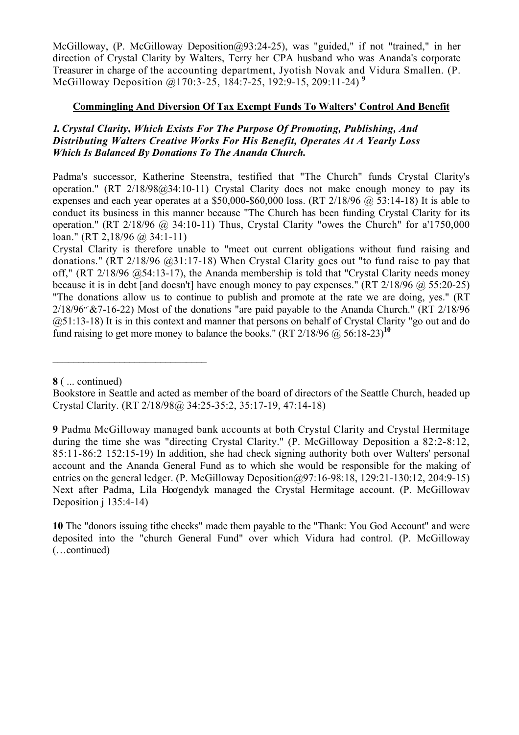McGilloway, (P. McGilloway Deposition@93:24-25), was "guided," if not "trained," in her direction of Crystal Clarity by Walters, Terry her CPA husband who was Ananda's corporate Treasurer in charge of the accounting department, Jyotish Novak and Vidura Smallen. (P. McGilloway Deposition @170:3-25, 184:7-25, 192:9-15, 209:11-24) **<sup>9</sup>**

# **Commingling And Diversion Of Tax Exempt Funds To Walters' Control And Benefit**

### *1. Crystal Clarity, Which Exists For The Purpose Of Promoting, Publishing, And Distributing Walters Creative Works For His Benefit, Operates At A Yearly Loss Which Is Balanced By Donations To The Ananda Church.*

Padma's successor, Katherine Steenstra, testified that "The Church" funds Crystal Clarity's operation."  $(RT \t2/18/98@34:10-11)$  Crystal Clarity does not make enough money to pay its expenses and each year operates at a \$50,000-\$60,000 loss. (RT 2/18/96 @ 53:14-18) It is able to conduct its business in this manner because "The Church has been funding Crystal Clarity for its operation." (RT 2/18/96 @ 34:10-11) Thus, Crystal Clarity "owes the Church" for a'1750,000 loan." (RT 2,18/96 @ 34:1-11)

Crystal Clarity is therefore unable to "meet out current obligations without fund raising and donations." (RT 2/18/96 @31:17-18) When Crystal Clarity goes out "to fund raise to pay that off," (RT 2/18/96 @54:13-17), the Ananda membership is told that "Crystal Clarity needs money because it is in debt [and doesn't] have enough money to pay expenses." (RT 2/18/96 @ 55:20-25) "The donations allow us to continue to publish and promote at the rate we are doing, yes." (RT  $2/18/96$ <sup>--</sup> &7-16-22) Most of the donations "are paid payable to the Ananda Church." (RT  $2/18/96$ @51:13-18) It is in this context and manner that persons on behalf of Crystal Clarity "go out and do fund raising to get more money to balance the books." (RT  $2/18/96$  @ 56:18-23)<sup>10</sup>

**8** ( ... continued)

 $\mathcal{L}_\text{max}$  , and the set of the set of the set of the set of the set of the set of the set of the set of the set of the set of the set of the set of the set of the set of the set of the set of the set of the set of the

**9** Padma McGilloway managed bank accounts at both Crystal Clarity and Crystal Hermitage during the time she was "directing Crystal Clarity." (P. McGilloway Deposition a 82:2-8:12, 85:11-86:2 152:15-19) In addition, she had check signing authority both over Walters' personal account and the Ananda General Fund as to which she would be responsible for the making of entries on the general ledger. (P. McGilloway Deposition  $\omega$  0.97:16-98:18, 129:21-130:12, 204:9-15) Next after Padma, Lila Hoogendyk managed the Crystal Hermitage account. (P. McGillowav Deposition j 135:4-14)

**10** The "donors issuing tithe checks" made them payable to the "Thank: You God Account" and were deposited into the "church General Fund" over which Vidura had control. (P. McGilloway (…continued)

Bookstore in Seattle and acted as member of the board of directors of the Seattle Church, headed up Crystal Clarity. (RT 2/18/98@ 34:25-35:2, 35:17-19, 47:14-18)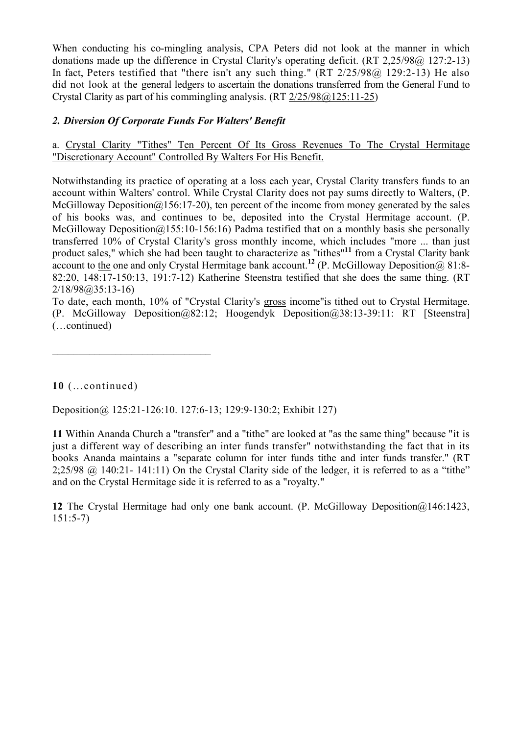When conducting his co-mingling analysis, CPA Peters did not look at the manner in which donations made up the difference in Crystal Clarity's operating deficit. (RT 2,25/98@ 127:2-13) In fact, Peters testified that "there isn't any such thing."  $(RT \frac{2}{25}/98\omega)$  129:2-13) He also did not look at the general ledgers to ascertain the donations transferred from the General Fund to Crystal Clarity as part of his commingling analysis. (RT 2/25/98@125:11-25)

# *2. Diversion Of Corporate Funds For Walters' Benefit*

a. Crystal Clarity "Tithes" Ten Percent Of Its Gross Revenues To The Crystal Hermitage "Discretionary Account" Controlled By Walters For His Benefit.

Notwithstanding its practice of operating at a loss each year, Crystal Clarity transfers funds to an account within Walters' control. While Crystal Clarity does not pay sums directly to Walters, (P. McGilloway Deposition  $(a)$ 156:17-20), ten percent of the income from money generated by the sales of his books was, and continues to be, deposited into the Crystal Hermitage account. (P. McGilloway Deposition  $(2155:10-156:16)$  Padma testified that on a monthly basis she personally transferred 10% of Crystal Clarity's gross monthly income, which includes "more ... than just product sales," which she had been taught to characterize as "tithes"**<sup>11</sup>** from a Crystal Clarity bank account to the one and only Crystal Hermitage bank account.<sup>12</sup> (P. McGilloway Deposition@ 81:8-82:20, 148:17-150:13, 191:7-12) Katherine Steenstra testified that she does the same thing. (RT 2/18/98@35:13-16)

To date, each month, 10% of "Crystal Clarity's gross income"is tithed out to Crystal Hermitage. (P. McGilloway Deposition@82:12; Hoogendyk Deposition@38:13-39:11: RT [Steenstra] (…continued)

**10** (…continued)

 $\overline{\phantom{a}}$  , where  $\overline{\phantom{a}}$  , where  $\overline{\phantom{a}}$  , where  $\overline{\phantom{a}}$ 

Deposition@ 125:21-126:10. 127:6-13; 129:9-130:2; Exhibit 127)

**11** Within Ananda Church a "transfer" and a "tithe" are looked at "as the same thing" because "it is just a different way of describing an inter funds transfer" notwithstanding the fact that in its books Ananda maintains a "separate column for inter funds tithe and inter funds transfer." (RT  $2:25/98$  @ 140:21- 141:11) On the Crystal Clarity side of the ledger, it is referred to as a "tithe" and on the Crystal Hermitage side it is referred to as a "royalty."

**12** The Crystal Hermitage had only one bank account. (P. McGilloway Deposition@146:1423, 151:5-7)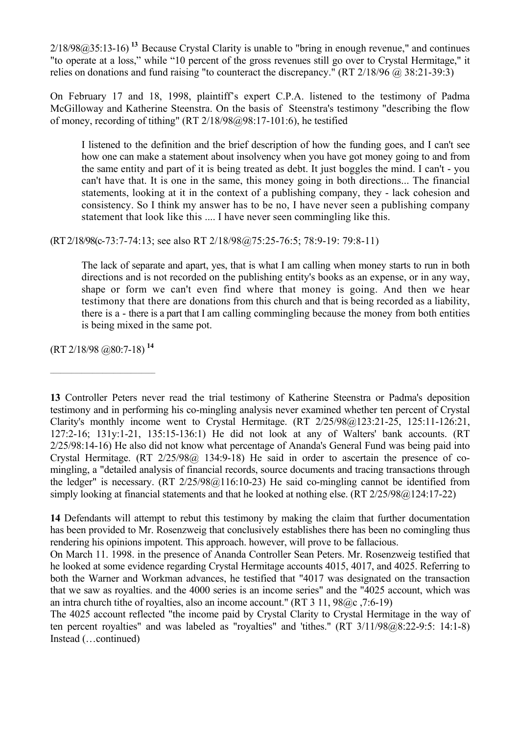2/18/98@35:13-16) **<sup>13</sup>** Because Crystal Clarity is unable to "bring in enough revenue," and continues "to operate at a loss," while "10 percent of the gross revenues still go over to Crystal Hermitage," it relies on donations and fund raising "to counteract the discrepancy." (RT  $2/18/96$  @ 38:21-39:3)

On February 17 and 18, 1998, plaintiff's expert C.P.A. listened to the testimony of Padma McGilloway and Katherine Steenstra. On the basis of Steenstra's testimony "describing the flow of money, recording of tithing"  $(RT 2/18/98@98:17-101:6)$ , he testified

I listened to the definition and the brief description of how the funding goes, and I can't see how one can make a statement about insolvency when you have got money going to and from the same entity and part of it is being treated as debt. It just boggles the mind. I can't - you can't have that. It is one in the same, this money going in both directions... The financial statements, looking at it in the context of a publishing company, they - lack cohesion and consistency. So I think my answer has to be no, I have never seen a publishing company statement that look like this .... I have never seen commingling like this.

(RT 2/18/98(c-73:7-74:13; see also RT 2/18/98@75:25-76:5; 78:9-19: 79:8-11)

The lack of separate and apart, yes, that is what I am calling when money starts to run in both directions and is not recorded on the publishing entity's books as an expense, or in any way, shape or form we can't even find where that money is going. And then we hear testimony that there are donations from this church and that is being recorded as a liability, there is a - there is a part that I am calling commingling because the money from both entities is being mixed in the same pot.

(RT 2/18/98 @80:7-18) **<sup>14</sup>**

\_\_\_\_\_\_\_\_\_\_\_\_\_\_\_\_\_\_\_\_\_\_\_\_\_\_\_\_\_\_

**13** Controller Peters never read the trial testimony of Katherine Steenstra or Padma's deposition testimony and in performing his co-mingling analysis never examined whether ten percent of Crystal Clarity's monthly income went to Crystal Hermitage. (RT 2/25/98@123:21-25, 125:11-126:21, 127:2-16; 131y:1-21, 135:15-136:1) He did not look at any of Walters' bank accounts. (RT 2/25/98:14-16) He also did not know what percentage of Ananda's General Fund was being paid into Crystal Hermitage. (RT  $2/25/98@$  134:9-18) He said in order to ascertain the presence of comingling, a "detailed analysis of financial records, source documents and tracing transactions through the ledger" is necessary. (RT  $2/25/98@116:10-23$ ) He said co-mingling cannot be identified from simply looking at financial statements and that he looked at nothing else. (RT 2/25/98@124:17-22)

**14** Defendants will attempt to rebut this testimony by making the claim that further documentation has been provided to Mr. Rosenzweig that conclusively establishes there has been no comingling thus rendering his opinions impotent. This approach. however, will prove to be fallacious.

On March 11. 1998. in the presence of Ananda Controller Sean Peters. Mr. Rosenzweig testified that he looked at some evidence regarding Crystal Hermitage accounts 4015, 4017, and 4025. Referring to both the Warner and Workman advances, he testified that "4017 was designated on the transaction that we saw as royalties. and the 4000 series is an income series" and the "4025 account, which was an intra church tithe of royalties, also an income account." (RT 3 11, 98@c ,7:6-19)

The 4025 account reflected "the income paid by Crystal Clarity to Crystal Hermitage in the way of ten percent royalties" and was labeled as "royalties" and 'tithes." (RT 3/11/98@8:22-9:5: 14:1-8) Instead (…continued)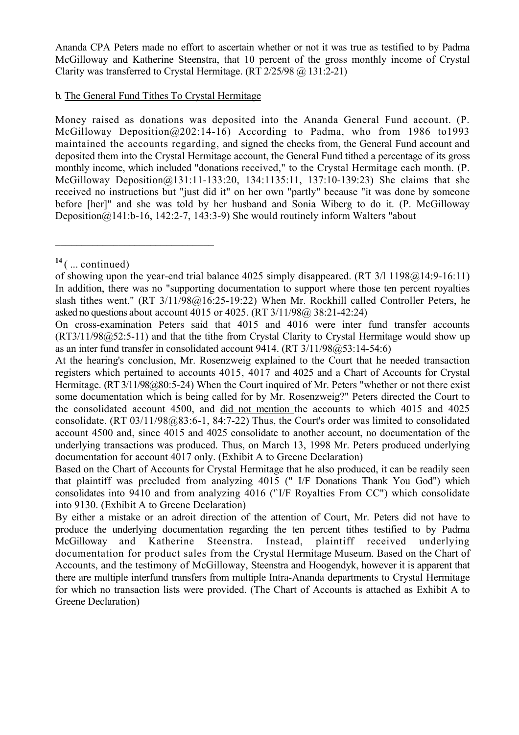Ananda CPA Peters made no effort to ascertain whether or not it was true as testified to by Padma McGilloway and Katherine Steenstra, that 10 percent of the gross monthly income of Crystal Clarity was transferred to Crystal Hermitage. (RT 2/25/98 @ 131:2-21)

### b. The General Fund Tithes To Crystal Hermitage

Money raised as donations was deposited into the Ananda General Fund account. (P. McGilloway Deposition@202:14-16) According to Padma, who from 1986 to1993 maintained the accounts regarding, and signed the checks from, the General Fund account and deposited them into the Crystal Hermitage account, the General Fund tithed a percentage of its gross monthly income, which included "donations received," to the Crystal Hermitage each month. (P. McGilloway Deposition@131:11-133:20, 134:1135:11, 137:10-139:23) She claims that she received no instructions but "just did it" on her own "partly" because "it was done by someone before [her]" and she was told by her husband and Sonia Wiberg to do it. (P. McGilloway Deposition@141:b-16, 142:2-7, 143:3-9) She would routinely inform Walters "about

 $\mathcal{L}_\text{max}$  , where  $\mathcal{L}_\text{max}$  and  $\mathcal{L}_\text{max}$ 

Based on the Chart of Accounts for Crystal Hermitage that he also produced, it can be readily seen that plaintiff was precluded from analyzing 4015 (" I/F Donations Thank You God") which consolidates into 9410 and from analyzing 4016 ('`I/F Royalties From CC") which consolidate into 9130. (Exhibit A to Greene Declaration)

By either a mistake or an adroit direction of the attention of Court, Mr. Peters did not have to produce the underlying documentation regarding the ten percent tithes testified to by Padma McGilloway and Katherine Steenstra. Instead, plaintiff received underlying documentation for product sales from the Crystal Hermitage Museum. Based on the Chart of Accounts, and the testimony of McGilloway, Steenstra and Hoogendyk, however it is apparent that there are multiple interfund transfers from multiple Intra-Ananda departments to Crystal Hermitage for which no transaction lists were provided. (The Chart of Accounts is attached as Exhibit A to Greene Declaration)

 $14$  ( $\ldots$  continued)

of showing upon the year-end trial balance 4025 simply disappeared. (RT 3/l 1198@14:9-16:11) In addition, there was no "supporting documentation to support where those ten percent royalties slash tithes went." (RT 3/11/98@16:25-19:22) When Mr. Rockhill called Controller Peters, he asked no questions about account 4015 or 4025. (RT 3/11/98@ 38:21-42:24)

On cross-examination Peters said that 4015 and 4016 were inter fund transfer accounts  $(RT3/11/98@52:5-11)$  and that the tithe from Crystal Clarity to Crystal Hermitage would show up as an inter fund transfer in consolidated account 9414. (RT 3/11/98@53:14-54:6)

At the hearing's conclusion, Mr. Rosenzweig explained to the Court that he needed transaction registers which pertained to accounts 4015, 4017 and 4025 and a Chart of Accounts for Crystal Hermitage. (RT 3/11/98@80:5-24) When the Court inquired of Mr. Peters "whether or not there exist some documentation which is being called for by Mr. Rosenzweig?" Peters directed the Court to the consolidated account 4500, and did not mention the accounts to which 4015 and 4025 consolidate. (RT 03/11/98@83:6-1, 84:7-22) Thus, the Court's order was limited to consolidated account 4500 and, since 4015 and 4025 consolidate to another account, no documentation of the underlying transactions was produced. Thus, on March 13, 1998 Mr. Peters produced underlying documentation for account 4017 only. (Exhibit A to Greene Declaration)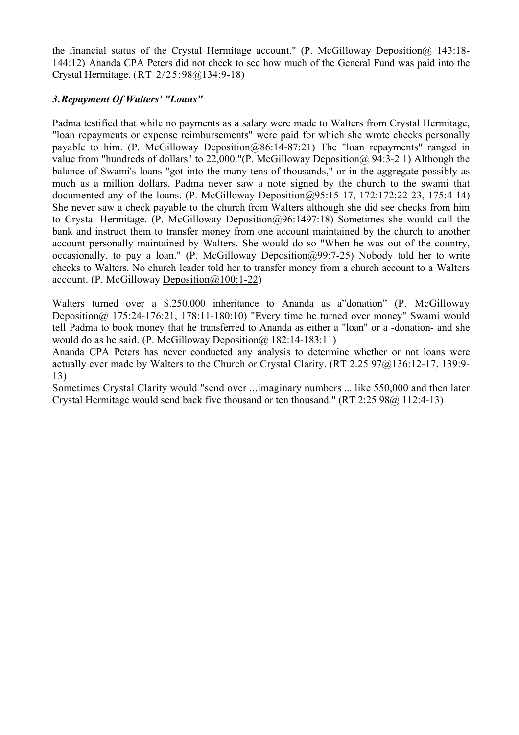the financial status of the Crystal Hermitage account." (P. McGilloway Deposition  $\omega$  143:18-144:12) Ananda CPA Peters did not check to see how much of the General Fund was paid into the Crystal Hermitage. (RT 2/25:98@134:9-18)

### *3.Repayment Of Walters' "Loans"*

Padma testified that while no payments as a salary were made to Walters from Crystal Hermitage, "loan repayments or expense reimbursements" were paid for which she wrote checks personally payable to him. (P. McGilloway Deposition $@86:14-87:21$ ) The "loan repayments" ranged in value from "hundreds of dollars" to 22,000."(P. McGilloway Deposition@ 94:3-2 1) Although the balance of Swami's loans "got into the many tens of thousands," or in the aggregate possibly as much as a million dollars, Padma never saw a note signed by the church to the swami that documented any of the loans. (P. McGilloway Deposition@95:15-17, 172:172:22-23, 175:4-14) She never saw a check payable to the church from Walters although she did see checks from him to Crystal Hermitage. (P. McGilloway Deposition@96:1497:18) Sometimes she would call the bank and instruct them to transfer money from one account maintained by the church to another account personally maintained by Walters. She would do so "When he was out of the country, occasionally, to pay a loan." (P. McGilloway Deposition  $(299:7-25)$ ) Nobody told her to write checks to Walters. No church leader told her to transfer money from a church account to a Walters account. (P. McGilloway Deposition $\omega(100:1-22)$ )

Walters turned over a \$.250,000 inheritance to Ananda as a"donation" (P. McGilloway Deposition@ 175:24-176:21, 178:11-180:10) "Every time he turned over money" Swami would tell Padma to book money that he transferred to Ananda as either a "loan" or a -donation- and she would do as he said. (P. McGilloway Deposition @ 182:14-183:11)

Ananda CPA Peters has never conducted any analysis to determine whether or not loans were actually ever made by Walters to the Church or Crystal Clarity. (RT 2.25 97@136:12-17, 139:9- 13)

Sometimes Crystal Clarity would "send over ...imaginary numbers ... like 550,000 and then later Crystal Hermitage would send back five thousand or ten thousand." (RT 2:25 98@ 112:4-13)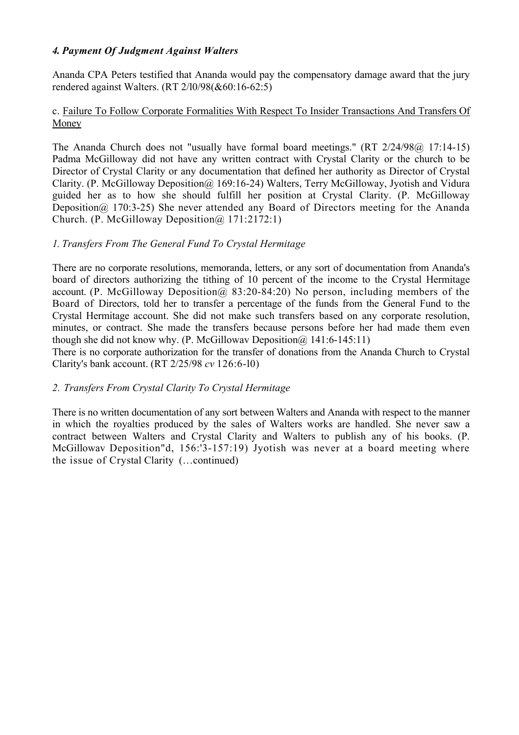# *4. Payment Of Judgment Against Walters*

Ananda CPA Peters testified that Ananda would pay the compensatory damage award that the jury rendered against Walters. (RT 2/l0/98(&60:16-62:5)

#### c. Failure To Follow Corporate Formalities With Respect To Insider Transactions And Transfers Of Money

The Ananda Church does not "usually have formal board meetings." (RT 2/24/98@ 17:14-15) Padma McGilloway did not have any written contract with Crystal Clarity or the church to be Director of Crystal Clarity or any documentation that defined her authority as Director of Crystal Clarity. (P. McGilloway Deposition@ 169:16-24) Walters, Terry McGilloway, Jyotish and Vidura guided her as to how she should fulfill her position at Crystal Clarity. (P. McGilloway Deposition@ 170:3-25) She never attended any Board of Directors meeting for the Ananda Church. (P. McGilloway Deposition@ 171:2172:1)

### *1. Transfers From The General Fund To Crystal Hermitage*

There are no corporate resolutions, memoranda, letters, or any sort of documentation from Ananda's board of directors authorizing the tithing of 10 percent of the income to the Crystal Hermitage account. (P. McGilloway Deposition  $\omega$  83:20-84:20) No person, including members of the Board of Directors, told her to transfer a percentage of the funds from the General Fund to the Crystal Hermitage account. She did not make such transfers based on any corporate resolution, minutes, or contract. She made the transfers because persons before her had made them even though she did not know why. (P. McGillowav Deposition  $\omega$  141:6-145:11)

There is no corporate authorization for the transfer of donations from the Ananda Church to Crystal Clarity's bank account. (RT 2/25/98 *cv* 126:6-l0)

### *2. Transfers From Crystal Clarity To Crystal Hermitage*

There is no written documentation of any sort between Walters and Ananda with respect to the manner in which the royalties produced by the sales of Walters works are handled. She never saw a contract between Walters and Crystal Clarity and Walters to publish any of his books. (P. McGillowav Deposition"d, 156:'3-157:19) Jyotish was never at a board meeting where the issue of Crystal Clarity (…continued)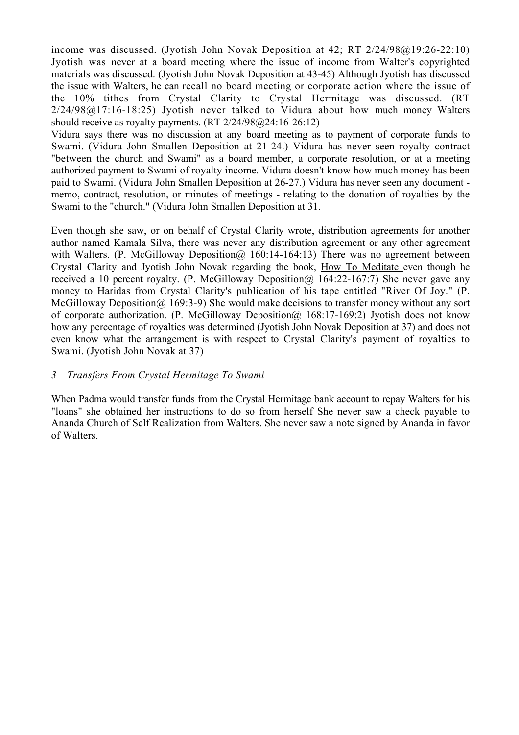income was discussed. (Jyotish John Novak Deposition at 42; RT 2/24/98@19:26-22:10) Jyotish was never at a board meeting where the issue of income from Walter's copyrighted materials was discussed. (Jyotish John Novak Deposition at 43-45) Although Jyotish has discussed the issue with Walters, he can recall no board meeting or corporate action where the issue of the 10% tithes from Crystal Clarity to Crystal Hermitage was discussed. (RT  $2/24/98@17:16-18:25$ ) Jyotish never talked to Vidura about how much money Walters should receive as royalty payments.  $(RT 2/24/98@24:16-26:12)$ 

Vidura says there was no discussion at any board meeting as to payment of corporate funds to Swami. (Vidura John Smallen Deposition at 21-24.) Vidura has never seen royalty contract "between the church and Swami" as a board member, a corporate resolution, or at a meeting authorized payment to Swami of royalty income. Vidura doesn't know how much money has been paid to Swami. (Vidura John Smallen Deposition at 26-27.) Vidura has never seen any document memo, contract, resolution, or minutes of meetings - relating to the donation of royalties by the Swami to the "church." (Vidura John Smallen Deposition at 31.

Even though she saw, or on behalf of Crystal Clarity wrote, distribution agreements for another author named Kamala Silva, there was never any distribution agreement or any other agreement with Walters. (P. McGilloway Deposition  $\omega$  160:14-164:13) There was no agreement between Crystal Clarity and Jyotish John Novak regarding the book, How To Meditate even though he received a 10 percent royalty. (P. McGilloway Deposition  $\omega$  164:22-167:7) She never gave any money to Haridas from Crystal Clarity's publication of his tape entitled "River Of Joy." (P. McGilloway Deposition  $(a)$  169:3-9) She would make decisions to transfer money without any sort of corporate authorization. (P. McGilloway Deposition@ 168:17-169:2) Jyotish does not know how any percentage of royalties was determined (Jyotish John Novak Deposition at 37) and does not even know what the arrangement is with respect to Crystal Clarity's payment of royalties to Swami. (Jyotish John Novak at 37)

### *3 Transfers From Crystal Hermitage To Swami*

When Padma would transfer funds from the Crystal Hermitage bank account to repay Walters for his "loans" she obtained her instructions to do so from herself She never saw a check payable to Ananda Church of Self Realization from Walters. She never saw a note signed by Ananda in favor of Walters.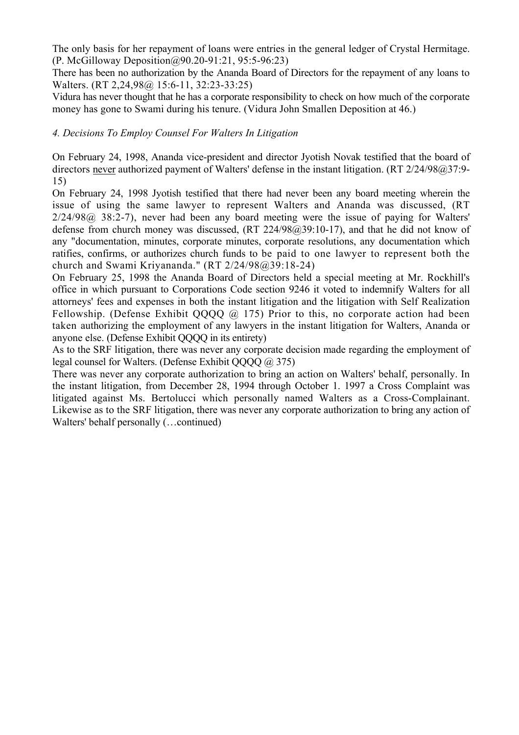The only basis for her repayment of loans were entries in the general ledger of Crystal Hermitage. (P. McGilloway Deposition@90.20-91:21, 95:5-96:23)

There has been no authorization by the Ananda Board of Directors for the repayment of any loans to Walters. (RT 2,24,98@ 15:6-11, 32:23-33:25)

Vidura has never thought that he has a corporate responsibility to check on how much of the corporate money has gone to Swami during his tenure. (Vidura John Smallen Deposition at 46.)

# *4. Decisions To Employ Counsel For Walters In Litigation*

On February 24, 1998, Ananda vice-president and director Jyotish Novak testified that the board of directors never authorized payment of Walters' defense in the instant litigation. (RT 2/24/98@37:9-15)

On February 24, 1998 Jyotish testified that there had never been any board meeting wherein the issue of using the same lawyer to represent Walters and Ananda was discussed, (RT 2/24/98@ 38:2-7), never had been any board meeting were the issue of paying for Walters' defense from church money was discussed, (RT 224/98@39:10-17), and that he did not know of any "documentation, minutes, corporate minutes, corporate resolutions, any documentation which ratifies, confirms, or authorizes church funds to be paid to one lawyer to represent both the church and Swami Kriyananda." (RT 2/24/98@39:18-24)

On February 25, 1998 the Ananda Board of Directors held a special meeting at Mr. Rockhill's office in which pursuant to Corporations Code section 9246 it voted to indemnify Walters for all attorneys' fees and expenses in both the instant litigation and the litigation with Self Realization Fellowship. (Defense Exhibit QQQQ  $\omega$  175) Prior to this, no corporate action had been taken authorizing the employment of any lawyers in the instant litigation for Walters, Ananda or anyone else. (Defense Exhibit QQQQ in its entirety)

As to the SRF litigation, there was never any corporate decision made regarding the employment of legal counsel for Walters. (Defense Exhibit  $0000 \ (\omega\) 375$ )

There was never any corporate authorization to bring an action on Walters' behalf, personally. In the instant litigation, from December 28, 1994 through October 1. 1997 a Cross Complaint was litigated against Ms. Bertolucci which personally named Walters as a Cross-Complainant. Likewise as to the SRF litigation, there was never any corporate authorization to bring any action of Walters' behalf personally (…continued)